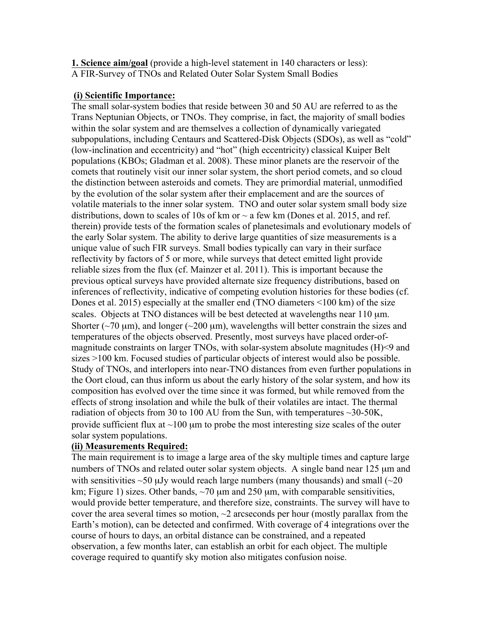**1. Science aim/goal** (provide a high-level statement in 140 characters or less): A FIR-Survey of TNOs and Related Outer Solar System Small Bodies

### **(i) Scientific Importance:**

The small solar-system bodies that reside between 30 and 50 AU are referred to as the Trans Neptunian Objects, or TNOs. They comprise, in fact, the majority of small bodies within the solar system and are themselves a collection of dynamically variegated subpopulations, including Centaurs and Scattered-Disk Objects (SDOs), as well as "cold" (low-inclination and eccentricity) and "hot" (high eccentricity) classical Kuiper Belt populations (KBOs; Gladman et al. 2008). These minor planets are the reservoir of the comets that routinely visit our inner solar system, the short period comets, and so cloud the distinction between asteroids and comets. They are primordial material, unmodified by the evolution of the solar system after their emplacement and are the sources of volatile materials to the inner solar system. TNO and outer solar system small body size distributions, down to scales of 10s of km or  $\sim$  a few km (Dones et al. 2015, and ref. therein) provide tests of the formation scales of planetesimals and evolutionary models of the early Solar system. The ability to derive large quantities of size measurements is a unique value of such FIR surveys. Small bodies typically can vary in their surface reflectivity by factors of 5 or more, while surveys that detect emitted light provide reliable sizes from the flux (cf. Mainzer et al. 2011). This is important because the previous optical surveys have provided alternate size frequency distributions, based on inferences of reflectivity, indicative of competing evolution histories for these bodies (cf. Dones et al. 2015) especially at the smaller end (TNO diameters <100 km) of the size scales. Objects at TNO distances will be best detected at wavelengths near 110  $\mu$ m. Shorter ( $\sim$ 70  $\mu$ m), and longer ( $\sim$ 200  $\mu$ m), wavelengths will better constrain the sizes and temperatures of the objects observed. Presently, most surveys have placed order-ofmagnitude constraints on larger TNOs, with solar-system absolute magnitudes (H)<9 and sizes >100 km. Focused studies of particular objects of interest would also be possible. Study of TNOs, and interlopers into near-TNO distances from even further populations in the Oort cloud, can thus inform us about the early history of the solar system, and how its composition has evolved over the time since it was formed, but while removed from the effects of strong insolation and while the bulk of their volatiles are intact. The thermal radiation of objects from 30 to 100 AU from the Sun, with temperatures  $\sim$ 30-50K, provide sufficient flux at  $\sim$ 100  $\mu$ m to probe the most interesting size scales of the outer solar system populations.

# **(ii) Measurements Required:**

The main requirement is to image a large area of the sky multiple times and capture large numbers of TNOs and related outer solar system objects. A single band near 125  $\mu$ m and with sensitivities  $\sim$  50  $\mu$ Jy would reach large numbers (many thousands) and small ( $\sim$ 20 km; Figure 1) sizes. Other bands,  $\sim$ 70  $\mu$ m and 250  $\mu$ m, with comparable sensitivities, would provide better temperature, and therefore size, constraints. The survey will have to cover the area several times so motion,  $\sim$ 2 arcseconds per hour (mostly parallax from the Earth's motion), can be detected and confirmed. With coverage of 4 integrations over the course of hours to days, an orbital distance can be constrained, and a repeated observation, a few months later, can establish an orbit for each object. The multiple coverage required to quantify sky motion also mitigates confusion noise.